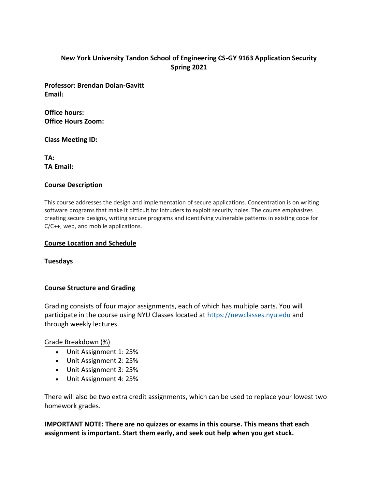## **New York University Tandon School of Engineering CS-GY 9163 Application Security Spring 2021**

**Profe[ssor: Brendan Dolan-Ga](mailto:brendandg@nyu.edu)vitt Email:**

**Office hours: Office Hours Zoom:**

**Class Meeting ID:**

**TA: TA Email:**

#### **Course Description**

This course addresses the design and implementation of secure applications. Concentration is on writing software programs that make it difficult for intruders to exploit security holes. The course emphasizes creating secure designs, writing secure programs and identifying vulnerable patterns in existing code for C/C++, web, and mobile applications.

### **Course Location and Schedule**

**Tuesdays**

## **Course Structure and Grading**

Grading consists of four major assignments, each of which has multiple parts. You will participate in the course using NYU Classes located at [https://newclasses.nyu.edu](https://newclasses.nyu.edu/) and through weekly lectures.

Grade Breakdown (%)

- Unit Assignment 1: 25%
- Unit Assignment 2: 25%
- Unit Assignment 3: 25%
- Unit Assignment 4: 25%

There will also be two extra credit assignments, which can be used to replace your lowest two homework grades.

**IMPORTANT NOTE: There are no quizzes or exams in this course. This means that each assignment is important. Start them early, and seek out help when you get stuck.**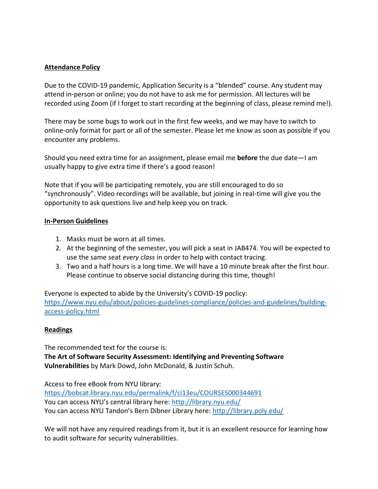#### **Attendance Policy**

Due to the COVID-19 pandemic, Application Security is a "blended" course. Any student may attend in-person or online; you do not have to ask me for permission. All lectures will be recorded using Zoom (if I forget to start recording at the beginning of class, please remind me!).

There may be some bugs to work out in the first few weeks, and we may have to switch to online-only format for part or all of the semester. Please let me know as soon as possible if you encounter any problems.

Should you need extra time for an assignment, please email me **before** the due date—I am usually happy to give extra time if there's a good reason!

Note that if you will be participating remotely, you are still encouraged to do so "synchronously". Video recordings will be available, but joining in real-time will give you the opportunity to ask questions live and help keep you on track.

### **In-Person Guidelines**

- 1. Masks must be worn at all times.
- 2. At the beginning of the semester, you will pick a seat in JAB474. You will be expected to use the same seat *every class* in order to help with contact tracing.
- 3. Two and a half hours is a long time. We will have a 10 minute break after the first hour. Please continue to observe social distancing during this time, though!

Everyone is expected to abide by the University's COVID-19 poclicy: [https://www.nyu.edu/about/policies-guidelines-compliance/policies-and-guidelines/building](https://www.nyu.edu/about/policies-guidelines-compliance/policies-and-guidelines/building-access-policy.html)[access-policy.html](https://www.nyu.edu/about/policies-guidelines-compliance/policies-and-guidelines/building-access-policy.html)

## **Readings**

The recommended text for the course is: **The Art of Software Security Assessment: Identifying and Preventing Software Vulnerabilities** by Mark Dowd, John McDonald, & Justin Schuh.

Access to free eBook from NYU library: <https://bobcat.library.nyu.edu/permalink/f/ci13eu/COURSES000344691> You can access NYU's central library here: <http://library.nyu.edu/> You can access NYU Tandon's Bern Dibner Library here: <http://library.poly.edu/>

We will not have any required readings from it, but it is an excellent resource for learning how to audit software for security vulnerabilities.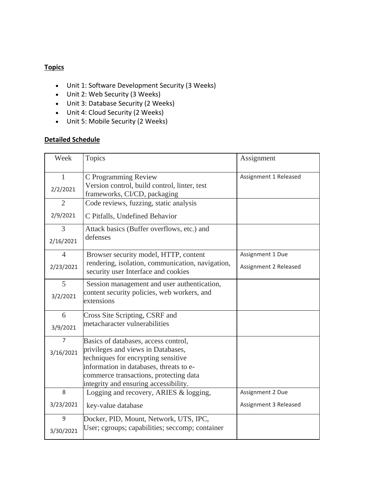### **Topics**

- Unit 1: Software Development Security (3 Weeks)
- Unit 2: Web Security (3 Weeks)
- Unit 3: Database Security (2 Weeks)
- Unit 4: Cloud Security (2 Weeks)
- Unit 5: Mobile Security (2 Weeks)

#### **Detailed Schedule**

| Week                     | <b>Topics</b>                                                                                            | Assignment            |
|--------------------------|----------------------------------------------------------------------------------------------------------|-----------------------|
| $\mathbf{1}$<br>2/2/2021 | C Programming Review<br>Version control, build control, linter, test<br>frameworks, CI/CD, packaging     | Assignment 1 Released |
| 2                        | Code reviews, fuzzing, static analysis                                                                   |                       |
| 2/9/2021                 | C Pitfalls, Undefined Behavior                                                                           |                       |
| 3<br>2/16/2021           | Attack basics (Buffer overflows, etc.) and<br>defenses                                                   |                       |
| $\overline{4}$           | Browser security model, HTTP, content                                                                    | Assignment 1 Due      |
| 2/23/2021                | rendering, isolation, communication, navigation,<br>security user Interface and cookies                  | Assignment 2 Released |
| 5<br>3/2/2021            | Session management and user authentication,<br>content security policies, web workers, and<br>extensions |                       |
| 6                        | Cross Site Scripting, CSRF and                                                                           |                       |
| 3/9/2021                 | metacharacter vulnerabilities                                                                            |                       |
| $\overline{7}$           | Basics of databases, access control,                                                                     |                       |
| 3/16/2021                | privileges and views in Databases,                                                                       |                       |
|                          | techniques for encrypting sensitive<br>information in databases, threats to e-                           |                       |
|                          | commerce transactions, protecting data                                                                   |                       |
|                          | integrity and ensuring accessibility.                                                                    |                       |
| 8                        | Logging and recovery, ARIES & logging,                                                                   | Assignment 2 Due      |
| 3/23/2021                | key-value database                                                                                       | Assignment 3 Released |
| 9                        | Docker, PID, Mount, Network, UTS, IPC,                                                                   |                       |
| 3/30/2021                | User; cgroups; capabilities; seccomp; container                                                          |                       |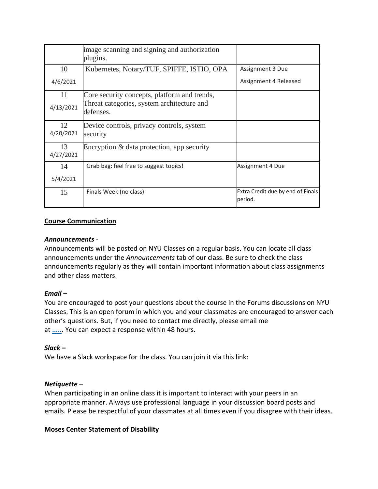|                 | image scanning and signing and authorization<br>plugins.                                                |                                              |
|-----------------|---------------------------------------------------------------------------------------------------------|----------------------------------------------|
| 10              | Kubernetes, Notary/TUF, SPIFFE, ISTIO, OPA                                                              | Assignment 3 Due                             |
| 4/6/2021        |                                                                                                         | Assignment 4 Released                        |
| 11<br>4/13/2021 | Core security concepts, platform and trends,<br>Threat categories, system architecture and<br>defenses. |                                              |
| 12<br>4/20/2021 | Device controls, privacy controls, system<br>security                                                   |                                              |
| 13<br>4/27/2021 | Encryption & data protection, app security                                                              |                                              |
| 14              | Grab bag: feel free to suggest topics!                                                                  | Assignment 4 Due                             |
| 5/4/2021        |                                                                                                         |                                              |
| 15              | Finals Week (no class)                                                                                  | Extra Credit due by end of Finals<br>period. |

#### **Course Communication**

#### *Announcements* -

Announcements will be posted on NYU Classes on a regular basis. You can locate all class announcements under the *Announcements* tab of our class. Be sure to check the class announcements regularly as they will contain important information about class assignments and other class matters.

#### *Email –*

You are encouraged to post your questions about the course in the Forums discussions on NYU Classes. This is an open forum in which you and your classmates are encouraged to answer each other's questions. But, if you need to contact me directly, please email me at **[.....](mailto:brendandg@nyu.edu).** You can expect a response within 48 hours.

#### *Slack –*

[We have a Slack workspace for the class. You can join it via this link:](https://join.slack.com/t/appsecspring2021/shared_invite/zt-lpciiwmq-UITTeDWnTG3JKz5gbEJrYw) 

#### *Netiquette –*

When participating in an online class it is important to interact with your peers in an appropriate manner. Always use professional language in your discussion board posts and emails. Please be respectful of your classmates at all times even if you disagree with their ideas.

#### **Moses Center Statement of Disability**